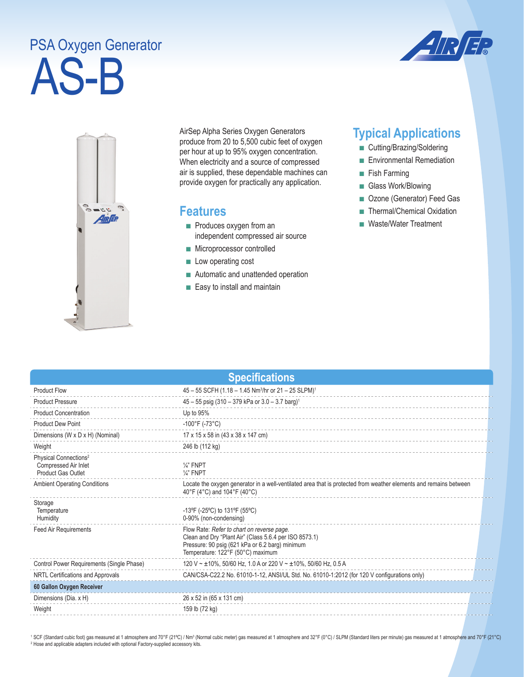## AS-B PSA Oxygen Generator





AirSep Alpha Series Oxygen Generators produce from 20 to 5,500 cubic feet of oxygen per hour at up to 95% oxygen concentration. When electricity and a source of compressed air is supplied, these dependable machines can provide oxygen for practically any application.

## **Features**

- Produces oxygen from an independent compressed air source
- Microprocessor controlled
- Low operating cost
- Automatic and unattended operation
- Easy to install and maintain

## **Typical Applications**

- Cutting/Brazing/Soldering
- Environmental Remediation
- Fish Farming
- Glass Work/Blowing
- Ozone (Generator) Feed Gas
- Thermal/Chemical Oxidation
- Waste/Water Treatment

| <b>Specifications</b>                                                                  |                                                                                                                                                                                              |  |  |
|----------------------------------------------------------------------------------------|----------------------------------------------------------------------------------------------------------------------------------------------------------------------------------------------|--|--|
| <b>Product Flow</b>                                                                    | $45 - 55$ SCFH (1.18 - 1.45 Nm <sup>3</sup> /hr or 21 - 25 SLPM) <sup>1</sup>                                                                                                                |  |  |
| <b>Product Pressure</b>                                                                | 45 - 55 psig (310 - 379 kPa or 3.0 - 3.7 barg) <sup>1</sup>                                                                                                                                  |  |  |
| <b>Product Concentration</b>                                                           | Up to 95%                                                                                                                                                                                    |  |  |
| <b>Product Dew Point</b>                                                               | $-100^{\circ}$ F (-73 $^{\circ}$ C)                                                                                                                                                          |  |  |
| Dimensions (W x D x H) (Nominal)                                                       | 17 x 15 x 58 in (43 x 38 x 147 cm)                                                                                                                                                           |  |  |
| Weight                                                                                 | 246 lb (112 kg)                                                                                                                                                                              |  |  |
| Physical Connections <sup>2</sup><br>Compressed Air Inlet<br><b>Product Gas Outlet</b> | $\frac{1}{4}$ " FNPT<br>$\frac{1}{4}$ " FNPT                                                                                                                                                 |  |  |
| <b>Ambient Operating Conditions</b>                                                    | Locate the oxygen generator in a well-ventilated area that is protected from weather elements and remains between<br>40°F (4°C) and 104°F (40°C)                                             |  |  |
| Storage<br>Temperature<br>Humidity                                                     | -13°F (-25°C) to 131°F (55°C)<br>0-90% (non-condensing)                                                                                                                                      |  |  |
| Feed Air Requirements                                                                  | Flow Rate: Refer to chart on reverse page.<br>Clean and Dry "Plant Air" (Class 5.6.4 per ISO 8573.1)<br>Pressure: 90 psig (621 kPa or 6.2 barg) minimum<br>Temperature: 122°F (50°C) maximum |  |  |
| Control Power Requirements (Single Phase)                                              | 120 V ~ ±10%, 50/60 Hz, 1.0 A or 220 V ~ ±10%, 50/60 Hz, 0.5 A                                                                                                                               |  |  |
| NRTL Certifications and Approvals                                                      | CAN/CSA-C22.2 No. 61010-1-12, ANSI/UL Std. No. 61010-1:2012 (for 120 V configurations only)                                                                                                  |  |  |
| 60 Gallon Oxygen Receiver                                                              |                                                                                                                                                                                              |  |  |
| Dimensions (Dia. x H)                                                                  | 26 x 52 in (65 x 131 cm)                                                                                                                                                                     |  |  |
| Weight                                                                                 | 159 lb (72 kg)                                                                                                                                                                               |  |  |

<sup>1</sup> SCF (Standard cubic foot) gas measured at 1 atmosphere and 70°F (21°C) / Nm<sup>3</sup> (Normal cubic meter) gas measured at 1 atmosphere and 32°F (0°C) / SLPM (Standard liters per minute) gas measured at 1 atmosphere and 70°F <sup>2</sup> Hose and applicable adapters included with optional Factory-supplied accessory kits.